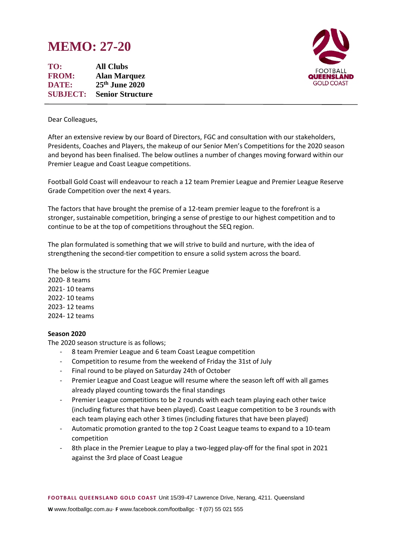# **MEMO: 27-20**

**TO: All Clubs FROM: Alan Marquez DATE: 25th June 2020 SUBJECT: Senior Structure**



Dear Colleagues,

After an extensive review by our Board of Directors, FGC and consultation with our stakeholders, Presidents, Coaches and Players, the makeup of our Senior Men's Competitions for the 2020 season and beyond has been finalised. The below outlines a number of changes moving forward within our Premier League and Coast League competitions.

Football Gold Coast will endeavour to reach a 12 team Premier League and Premier League Reserve Grade Competition over the next 4 years.

The factors that have brought the premise of a 12-team premier league to the forefront is a stronger, sustainable competition, bringing a sense of prestige to our highest competition and to continue to be at the top of competitions throughout the SEQ region.

The plan formulated is something that we will strive to build and nurture, with the idea of strengthening the second-tier competition to ensure a solid system across the board.

The below is the structure for the FGC Premier League

2020- 8 teams 2021- 10 teams 2022- 10 teams 2023- 12 teams 2024- 12 teams

### **Season 2020**

The 2020 season structure is as follows;

- 8 team Premier League and 6 team Coast League competition
- Competition to resume from the weekend of Friday the 31st of July
- Final round to be played on Saturday 24th of October
- Premier League and Coast League will resume where the season left off with all games already played counting towards the final standings
- Premier League competitions to be 2 rounds with each team playing each other twice (including fixtures that have been played). Coast League competition to be 3 rounds with each team playing each other 3 times (including fixtures that have been played)
- Automatic promotion granted to the top 2 Coast League teams to expand to a 10-team competition
- 8th place in the Premier League to play a two-legged play-off for the final spot in 2021 against the 3rd place of Coast League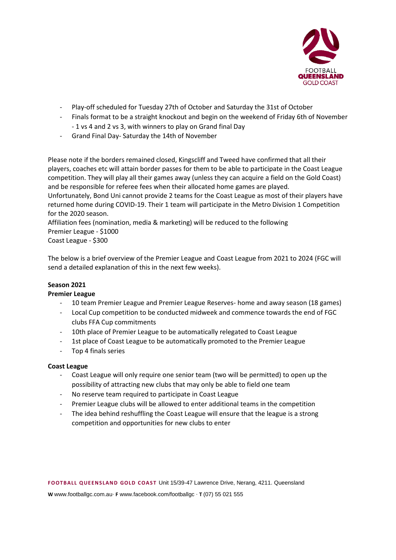

- Play-off scheduled for Tuesday 27th of October and Saturday the 31st of October
- Finals format to be a straight knockout and begin on the weekend of Friday 6th of November - 1 vs 4 and 2 vs 3, with winners to play on Grand final Day
- Grand Final Day- Saturday the 14th of November

Please note if the borders remained closed, Kingscliff and Tweed have confirmed that all their players, coaches etc will attain border passes for them to be able to participate in the Coast League competition. They will play all their games away (unless they can acquire a field on the Gold Coast) and be responsible for referee fees when their allocated home games are played.

Unfortunately, Bond Uni cannot provide 2 teams for the Coast League as most of their players have returned home during COVID-19. Their 1 team will participate in the Metro Division 1 Competition for the 2020 season.

Affiliation fees (nomination, media & marketing) will be reduced to the following Premier League - \$1000 Coast League - \$300

The below is a brief overview of the Premier League and Coast League from 2021 to 2024 (FGC will send a detailed explanation of this in the next few weeks).

## **Season 2021**

### **Premier League**

- 10 team Premier League and Premier League Reserves- home and away season (18 games)
- Local Cup competition to be conducted midweek and commence towards the end of FGC clubs FFA Cup commitments
- 10th place of Premier League to be automatically relegated to Coast League
- 1st place of Coast League to be automatically promoted to the Premier League
- Top 4 finals series

### **Coast League**

- Coast League will only require one senior team (two will be permitted) to open up the possibility of attracting new clubs that may only be able to field one team
- No reserve team required to participate in Coast League
- Premier League clubs will be allowed to enter additional teams in the competition
- The idea behind reshuffling the Coast League will ensure that the league is a strong competition and opportunities for new clubs to enter